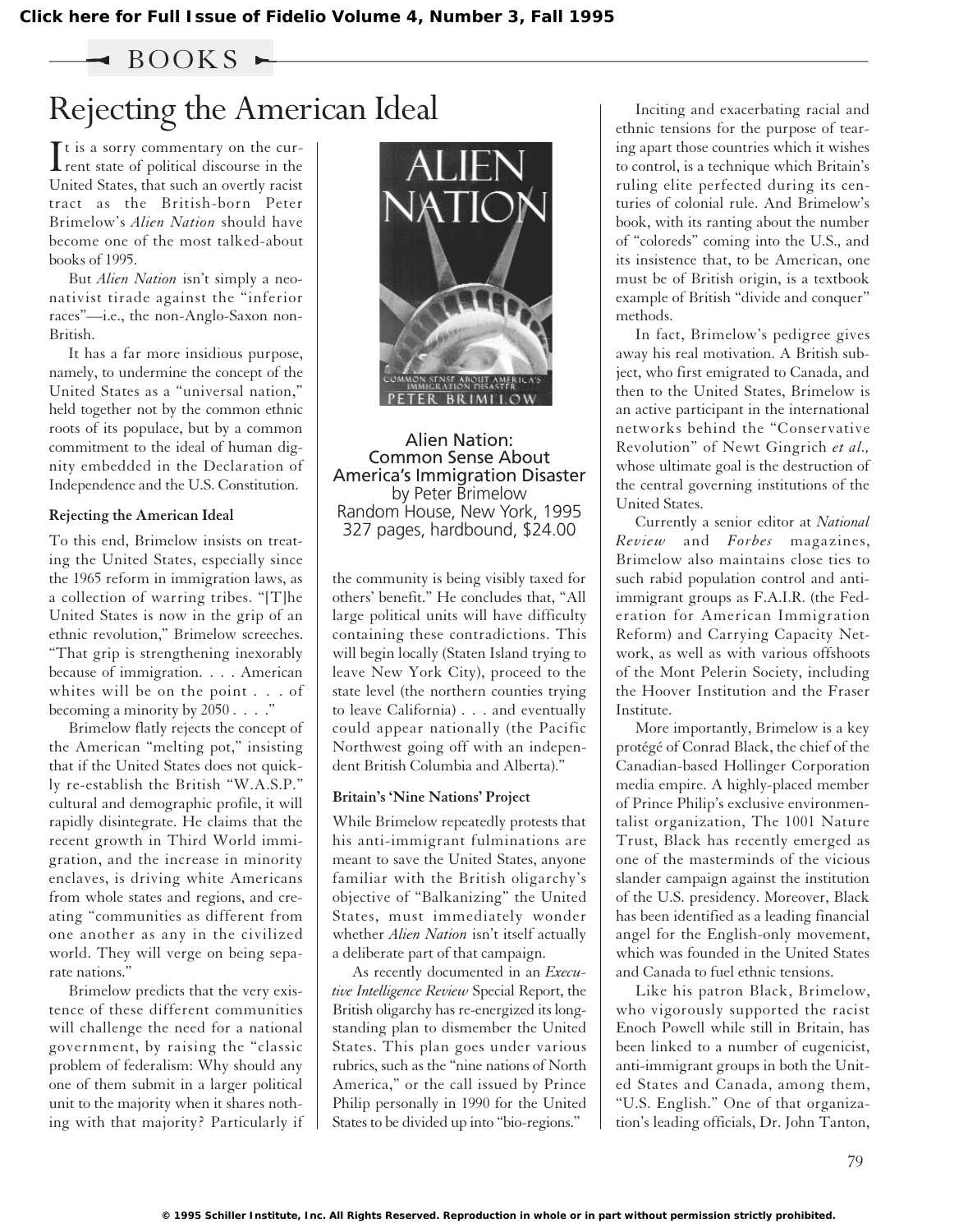$\triangleleft$  BOOKS  $\blacktriangleright$ 

## Rejecting the American Ideal

 $\prod$ t is a sorry commentary on the cur-<br>rent state of political discourse in the  $\mathbf{T}$ t is a sorry commentary on the cur-United States, that such an overtly racist tract as the British-born Peter Brimelow's *Alien Nation* should have become one of the most talked-about books of 1995.

But *Alien Nation* isn't simply a neonativist tirade against the "inferior races"—i.e., the non-Anglo-Saxon non-British.

It has a far more insidious purpose, namely, to undermine the concept of the United States as a "universal nation," held together not by the common ethnic roots of its populace, but by a common commitment to the ideal of human dignity embedded in the Declaration of Independence and the U.S. Constitution.

## **Rejecting the American Ideal**

To this end, Brimelow insists on treating the United States, especially since the 1965 reform in immigration laws, as a collection of warring tribes. "[T]he United States is now in the grip of an ethnic revolution," Brimelow screeches. "That grip is strengthening inexorably because of immigration. . . . American whites will be on the point . . . of becoming a minority by  $2050...$ ."

Brimelow flatly rejects the concept of the American "melting pot," insisting that if the United States does not quickly re-establish the British "W.A.S.P." cultural and demographic profile, it will rapidly disintegrate. He claims that the recent growth in Third World immigration, and the increase in minority enclaves, is driving white Americans from whole states and regions, and creating "communities as different from one another as any in the civilized world. They will verge on being separate nations."

Brimelow predicts that the very existence of these different communities will challenge the need for a national government, by raising the "classic problem of federalism: Why should any one of them submit in a larger political unit to the majority when it shares nothing with that majority? Particularly if



Alien Nation: Common Sense About America's Immigration Disaster by Peter Brimelow Random House, New York, 1995 327 pages, hardbound, \$24.00

the community is being visibly taxed for others' benefit." He concludes that, "All large political units will have difficulty containing these contradictions. This will begin locally (Staten Island trying to leave New York City), proceed to the state level (the northern counties trying to leave California) . . . and eventually could appear nationally (the Pacific Northwest going off with an independent British Columbia and Alberta)."

## **Britain's 'Nine Nations' Project**

While Brimelow repeatedly protests that his anti-immigrant fulminations are meant to save the United States, anyone familiar with the British oligarchy's objective of "Balkanizing" the United States, must immediately wonder whether *Alien Nation* isn't itself actually a deliberate part of that campaign.

As recently documented in an *Executive Intelligence Review* Special Report, the British oligarchy has re-energized its longstanding plan to dismember the United States. This plan goes under various rubrics, such as the "nine nations of North America," or the call issued by Prince Philip personally in 1990 for the United States to be divided up into "bio-regions."

Inciting and exacerbating racial and ethnic tensions for the purpose of tearing apart those countries which it wishes to control, is a technique which Britain's ruling elite perfected during its centuries of colonial rule. And Brimelow's book, with its ranting about the number of "coloreds" coming into the U.S., and its insistence that, to be American, one must be of British origin, is a textbook example of British "divide and conquer" methods.

In fact, Brimelow's pedigree gives away his real motivation. A British subject, who first emigrated to Canada, and then to the United States, Brimelow is an active participant in the international networks behind the "Conservative Revolution" of Newt Gingrich *et al.,* whose ultimate goal is the destruction of the central governing institutions of the United States.

Currently a senior editor at *National Review* and *Forbes* magazines, Brimelow also maintains close ties to such rabid population control and antiimmigrant groups as F.A.I.R. (the Federation for American Immigration Reform) and Carrying Capacity Network, as well as with various offshoots of the Mont Pelerin Society, including the Hoover Institution and the Fraser Institute.

More importantly, Brimelow is a key protégé of Conrad Black, the chief of the Canadian-based Hollinger Corporation media empire. A highly-placed member of Prince Philip's exclusive environmentalist organization, The 1001 Nature Trust, Black has recently emerged as one of the masterminds of the vicious slander campaign against the institution of the U.S. presidency. Moreover, Black has been identified as a leading financial angel for the English-only movement, which was founded in the United States and Canada to fuel ethnic tensions.

Like his patron Black, Brimelow, who vigorously supported the racist Enoch Powell while still in Britain, has been linked to a number of eugenicist, anti-immigrant groups in both the United States and Canada, among them, "U.S. English." One of that organization's leading officials, Dr. John Tanton,